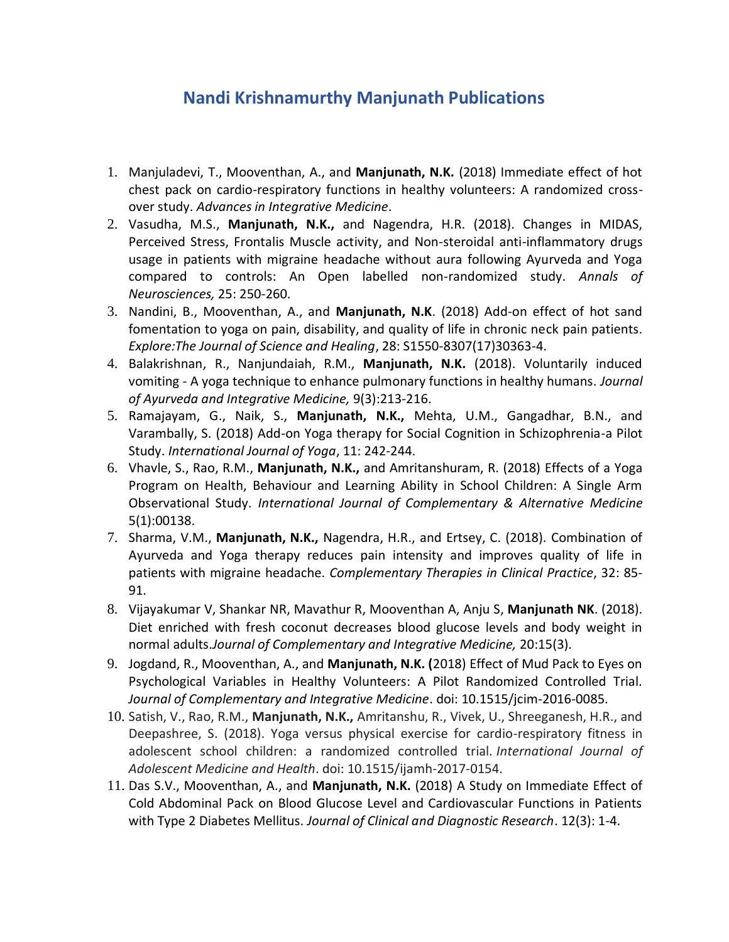## **Nandi Krishnamurthy Manjunath Publications**

- 1. Manjuladevi, T., Mooventhan, A., and **Manjunath, N.K.** (2018) Immediate effect of hot chest pack on cardio-respiratory functions in healthy volunteers: A randomized crossover study. *Advances in Integrative Medicine*.
- 2. Vasudha, M.S., **Manjunath, N.K.,** and Nagendra, H.R. (2018). Changes in MIDAS, Perceived Stress, Frontalis Muscle activity, and Non-steroidal anti-inflammatory drugs usage in patients with migraine headache without aura following Ayurveda and Yoga compared to controls: An Open labelled non-randomized study. *Annals of Neurosciences,* 25: 250-260.
- 3. Nandini, B., Mooventhan, A., and **Manjunath, N.K**. (2018) Add-on effect of hot sand fomentation to yoga on pain, disability, and quality of life in chronic neck pain patients. *Explore:The Journal of Science and Healing*, 28: S1550-8307(17)30363-4.
- 4. Balakrishnan, R., Nanjundaiah, R.M., **Manjunath, N.K.** (2018). Voluntarily induced vomiting - A yoga technique to enhance pulmonary functions in healthy humans. *Journal of Ayurveda and Integrative Medicine,* 9(3):213-216.
- 5. Ramajayam, G., Naik, S., **Manjunath, N.K.,** Mehta, U.M., Gangadhar, B.N., and Varambally, S. (2018) Add-on Yoga therapy for Social Cognition in Schizophrenia-a Pilot Study. *International Journal of Yoga*, 11: 242-244.
- 6. Vhavle, S., Rao, R.M., **Manjunath, N.K.,** and Amritanshuram, R. (2018) Effects of a Yoga Program on Health, Behaviour and Learning Ability in School Children: A Single Arm Observational Study. *International Journal of Complementary & Alternative Medicine* 5(1):00138.
- 7. Sharma, V.M., **Manjunath, N.K.,** Nagendra, H.R., and Ertsey, C. (2018). Combination of Ayurveda and Yoga therapy reduces pain intensity and improves quality of life in patients with migraine headache. *Complementary Therapies in Clinical Practice*, 32: 85- 91.
- 8. Vijayakumar V, Shankar NR, Mavathur R, Mooventhan A, Anju S, **Manjunath NK**. (2018). [Diet enriched with fresh coconut decreases blood glucose levels and body weight in](https://www.ncbi.nlm.nih.gov/pubmed/29461972)  [normal adults.](https://www.ncbi.nlm.nih.gov/pubmed/29461972)*Journal of Complementary and Integrative Medicine,* 20:15(3).
- 9. Jogdand, R., Mooventhan, A., and **Manjunath, N.K. (**2018) Effect of Mud Pack to Eyes on Psychological Variables in Healthy Volunteers: A Pilot Randomized Controlled Trial. *Journal of Complementary and Integrative Medicine*. doi: 10.1515/jcim-2016-0085.
- 10. Satish, V., Rao, R.M., **Manjunath, N.K.,** Amritanshu, R., Vivek, U., Shreeganesh, H.R., and Deepashree, S. (2018). Yoga versus physical exercise for cardio-respiratory fitness in adolescent school children: a randomized controlled trial. *International Journal of Adolescent Medicine and Health*. doi: 10.1515/ijamh-2017-0154.
- 11. Das S.V., Mooventhan, A., and **Manjunath, N.K.** (2018) A Study on Immediate Effect of Cold Abdominal Pack on Blood Glucose Level and Cardiovascular Functions in Patients with Type 2 Diabetes Mellitus. *Journal of Clinical and Diagnostic Research*. 12(3): 1-4.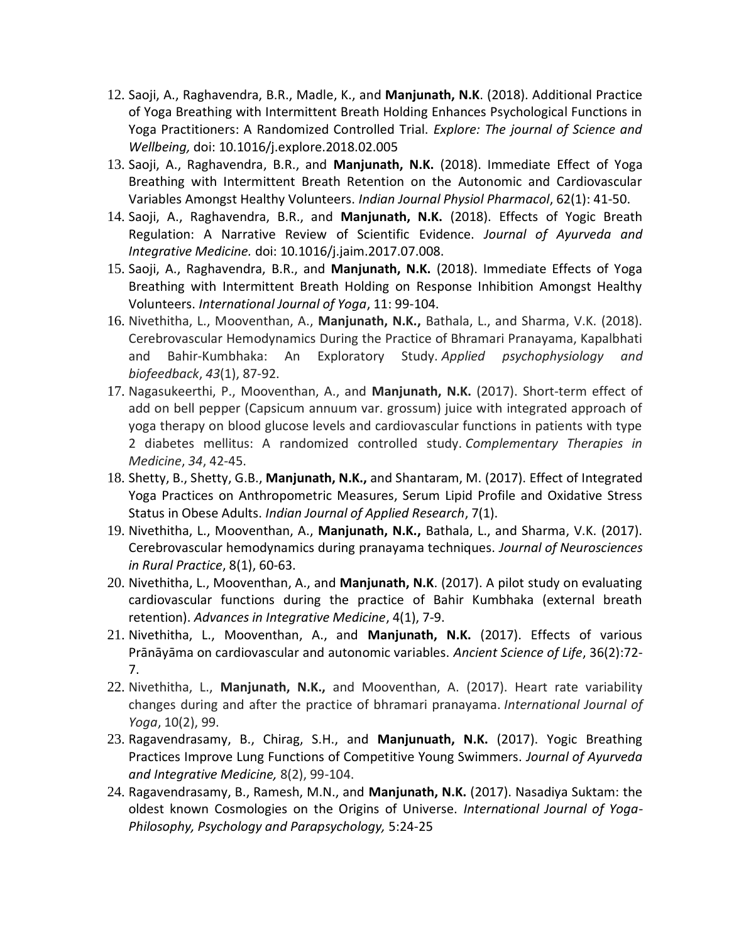- 12. Saoji, A., Raghavendra, B.R., Madle, K., and **Manjunath, N.K**. (2018). Additional Practice of Yoga Breathing with Intermittent Breath Holding Enhances Psychological Functions in Yoga Practitioners: A Randomized Controlled Trial. *Explore: The journal of Science and Wellbeing,* doi: 10.1016/j.explore.2018.02.005
- 13. Saoji, A., Raghavendra, B.R., and **Manjunath, N.K.** (2018). Immediate Effect of Yoga Breathing with Intermittent Breath Retention on the Autonomic and Cardiovascular Variables Amongst Healthy Volunteers. *Indian Journal Physiol Pharmacol*, 62(1): 41-50.
- 14. Saoji, A., Raghavendra, B.R., and **Manjunath, N.K.** (2018). Effects of Yogic Breath Regulation: A Narrative Review of Scientific Evidence. *Journal of Ayurveda and Integrative Medicine.* doi: 10.1016/j.jaim.2017.07.008.
- 15. Saoji, A., Raghavendra, B.R., and **Manjunath, N.K.** (2018). Immediate Effects of Yoga Breathing with Intermittent Breath Holding on Response Inhibition Amongst Healthy Volunteers. *International Journal of Yoga*, 11: 99-104.
- 16. Nivethitha, L., Mooventhan, A., **Manjunath, N.K.,** Bathala, L., and Sharma, V.K. (2018). Cerebrovascular Hemodynamics During the Practice of Bhramari Pranayama, Kapalbhati and Bahir-Kumbhaka: An Exploratory Study. *Applied psychophysiology and biofeedback*, *43*(1), 87-92.
- 17. Nagasukeerthi, P., Mooventhan, A., and **Manjunath, N.K.** (2017). Short-term effect of add on bell pepper (Capsicum annuum var. grossum) juice with integrated approach of yoga therapy on blood glucose levels and cardiovascular functions in patients with type 2 diabetes mellitus: A randomized controlled study. *Complementary Therapies in Medicine*, *34*, 42-45.
- 18. Shetty, B., Shetty, G.B., **Manjunath, N.K.,** and Shantaram, M. (2017). Effect of Integrated Yoga Practices on Anthropometric Measures, Serum Lipid Profile and Oxidative Stress Status in Obese Adults. *Indian Journal of Applied Research*, 7(1).
- 19. Nivethitha, L., Mooventhan, A., **Manjunath, N.K.,** Bathala, L., and Sharma, V.K. (2017). Cerebrovascular hemodynamics during pranayama techniques. *Journal of Neurosciences in Rural Practice*, 8(1), 60-63.
- 20. Nivethitha, L., Mooventhan, A., and **Manjunath, N.K**. (2017). A pilot study on evaluating cardiovascular functions during the practice of Bahir Kumbhaka (external breath retention). *Advances in Integrative Medicine*, 4(1), 7-9.
- 21. Nivethitha, L., Mooventhan, A., and **Manjunath, N.K.** (2017). Effects of various Prānāyāma on cardiovascular and autonomic variables. *Ancient Science of Life*, 36(2):72- 7.
- 22. Nivethitha, L., **Manjunath, N.K.,** and Mooventhan, A. (2017). Heart rate variability changes during and after the practice of bhramari pranayama. *International Journal of Yoga*, 10(2), 99.
- 23. Ragavendrasamy, B., Chirag, S.H., and **Manjunuath, N.K.** (2017). Yogic Breathing Practices Improve Lung Functions of Competitive Young Swimmers. *Journal of Ayurveda and Integrative Medicine,* 8(2), 99-104.
- 24. Ragavendrasamy, B., Ramesh, M.N., and **Manjunath, N.K.** (2017). Nasadiya Suktam: the oldest known Cosmologies on the Origins of Universe. *International Journal of Yoga-Philosophy, Psychology and Parapsychology,* 5:24-25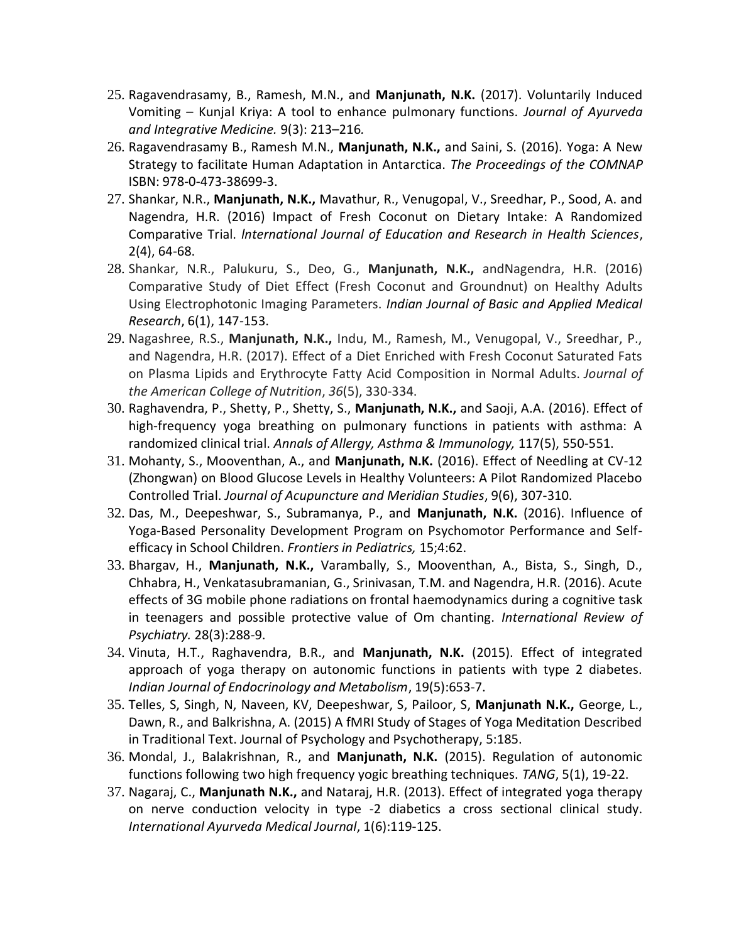- 25. Ragavendrasamy, B., Ramesh, M.N., and **Manjunath, N.K.** (2017). Voluntarily Induced Vomiting – Kunjal Kriya: A tool to enhance pulmonary functions. *Journal of Ayurveda and Integrative Medicine.* 9(3): 213–216*.*
- 26. Ragavendrasamy B., Ramesh M.N., **Manjunath, N.K.,** and Saini, S. (2016). Yoga: A New Strategy to facilitate Human Adaptation in Antarctica. *The Proceedings of the COMNAP* ISBN: 978-0-473-38699-3.
- 27. Shankar, N.R., **Manjunath, N.K.,** Mavathur, R., Venugopal, V., Sreedhar, P., Sood, A. and Nagendra, H.R. (2016) Impact of Fresh Coconut on Dietary Intake: A Randomized Comparative Trial. *lnternational Journal of Education and Research in Health Sciences*, 2(4), 64-68.
- 28. Shankar, N.R., Palukuru, S., Deo, G., **Manjunath, N.K.,** andNagendra, H.R. (2016) Comparative Study of Diet Effect (Fresh Coconut and Groundnut) on Healthy Adults Using Electrophotonic Imaging Parameters. *Indian Journal of Basic and Applied Medical Research*, 6(1), 147-153.
- 29. Nagashree, R.S., **Manjunath, N.K.,** Indu, M., Ramesh, M., Venugopal, V., Sreedhar, P., and Nagendra, H.R. (2017). Effect of a Diet Enriched with Fresh Coconut Saturated Fats on Plasma Lipids and Erythrocyte Fatty Acid Composition in Normal Adults. *Journal of the American College of Nutrition*, *36*(5), 330-334.
- 30. Raghavendra, P., Shetty, P., Shetty, S., **Manjunath, N.K.,** and Saoji, A.A. (2016). Effect of high-frequency yoga breathing on pulmonary functions in patients with asthma: A randomized clinical trial. *Annals of Allergy, Asthma & Immunology,* 117(5), 550-551.
- 31. Mohanty, S., Mooventhan, A., and **Manjunath, N.K.** (2016). Effect of Needling at CV-12 (Zhongwan) on Blood Glucose Levels in Healthy Volunteers: A Pilot Randomized Placebo Controlled Trial. *Journal of Acupuncture and Meridian Studies*, 9(6), 307-310.
- 32. Das, M., Deepeshwar, S., Subramanya, P., and **Manjunath, N.K.** (2016). Influence of Yoga-Based Personality Development Program on Psychomotor Performance and Selfefficacy in School Children. *Frontiers in Pediatrics,* 15;4:62.
- 33. Bhargav, H., **Manjunath, N.K.,** Varambally, S., Mooventhan, A., Bista, S., Singh, D., Chhabra, H., Venkatasubramanian, G., Srinivasan, T.M. and Nagendra, H.R. (2016). Acute effects of 3G mobile phone radiations on frontal haemodynamics during a cognitive task in teenagers and possible protective value of Om chanting. *International Review of Psychiatry.* 28(3):288-9.
- 34. Vinuta, H.T., Raghavendra, B.R., and **Manjunath, N.K.** (2015). Effect of integrated approach of yoga therapy on autonomic functions in patients with type 2 diabetes. *Indian Journal of Endocrinology and Metabolism*, 19(5):653-7.
- 35. Telles, S, Singh, N, Naveen, KV, Deepeshwar, S, Pailoor, S, **Manjunath N.K.,** George, L., Dawn, R., and Balkrishna, A. (2015) A fMRI Study of Stages of Yoga Meditation Described in Traditional Text. Journal of Psychology and Psychotherapy, 5:185.
- 36. Mondal, J., Balakrishnan, R., and **Manjunath, N.K.** (2015). Regulation of autonomic functions following two high frequency yogic breathing techniques. *TANG*, 5(1), 19-22.
- 37. Nagaraj, C., **Manjunath N.K.,** and Nataraj, H.R. (2013). Effect of integrated yoga therapy on nerve conduction velocity in type -2 diabetics a cross sectional clinical study. *International Ayurveda Medical Journal*, 1(6):119-125.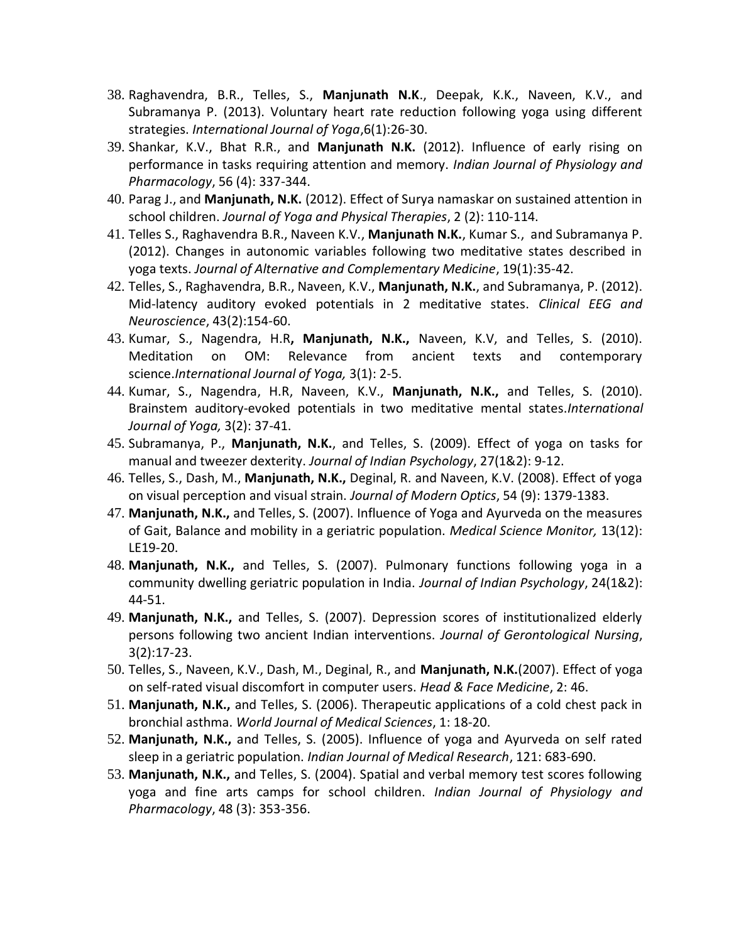- 38. Raghavendra, B.R., Telles, S., **Manjunath N.K**., Deepak, K.K., Naveen, K.V., and Subramanya P. (2013). Voluntary heart rate reduction following yoga using different strategies. *International Journal of Yoga*,6(1):26-30.
- 39. Shankar, K.V., Bhat R.R., and **Manjunath N.K.** (2012). Influence of early rising on performance in tasks requiring attention and memory. *Indian Journal of Physiology and Pharmacology*, 56 (4): 337-344.
- 40. Parag J., and **Manjunath, N.K.** (2012). Effect of Surya namaskar on sustained attention in school children. *Journal of Yoga and Physical Therapies*, 2 (2): 110-114.
- 41. Telles S., Raghavendra B.R., Naveen K.V., **Manjunath N.K.**, Kumar S., and Subramanya P. (2012). Changes in autonomic variables following two meditative states described in yoga texts. *Journal of Alternative and Complementary Medicine*, 19(1):35-42.
- 42. Telles, S., Raghavendra, B.R., Naveen, K.V., **Manjunath, N.K.**, and Subramanya, P. (2012). Mid-latency auditory evoked potentials in 2 meditative states. *Clinical EEG and Neuroscience*, 43(2):154-60.
- 43. Kumar, S., Nagendra, H.R**, Manjunath, N.K.,** Naveen, K.V, and Telles, S. (2010). [Meditation on OM: Relevance from ancient texts and contemporary](http://www.ncbi.nlm.nih.gov/pubmed/20948894)  [science.](http://www.ncbi.nlm.nih.gov/pubmed/20948894)*International Journal of Yoga,* 3(1): 2-5.
- 44. Kumar, S., Nagendra, H.R, Naveen, K.V., **Manjunath, N.K.,** and Telles, S. (2010). [Brainstem auditory-evoked potentials in two meditative mental states.](http://www.ncbi.nlm.nih.gov/pubmed/21170228)*International Journal of Yoga,* 3(2): 37-41.
- 45. Subramanya, P., **Manjunath, N.K.**, and Telles, S. (2009). Effect of yoga on tasks for manual and tweezer dexterity. *Journal of Indian Psychology*, 27(1&2): 9-12.
- 46. Telles, S., Dash, M., **Manjunath, N.K.,** Deginal, R. and Naveen, K.V. (2008). Effect of yoga on visual perception and visual strain. *Journal of Modern Optics*, 54 (9): 1379-1383.
- 47. **Manjunath, N.K.,** and Telles, S. (2007). Influence of Yoga and Ayurveda on the measures of Gait, Balance and mobility in a geriatric population. *Medical Science Monitor,* 13(12): LE19-20.
- 48. **Manjunath, N.K.,** and Telles, S. (2007). Pulmonary functions following yoga in a community dwelling geriatric population in India. *Journal of Indian Psychology*, 24(1&2): 44-51.
- 49. **Manjunath, N.K.,** and Telles, S. (2007). Depression scores of institutionalized elderly persons following two ancient Indian interventions. *Journal of Gerontological Nursing*, 3(2):17-23.
- 50. Telles, S., Naveen, K.V., Dash, M., Deginal, R., and **Manjunath, N.K.**(2007). Effect of yoga on self-rated visual discomfort in computer users. *Head & Face Medicine*, 2: 46.
- 51. **Manjunath, N.K.,** and Telles, S. (2006). Therapeutic applications of a cold chest pack in bronchial asthma. *World Journal of Medical Sciences*, 1: 18-20.
- 52. **Manjunath, N.K.,** and Telles, S. (2005). Influence of yoga and Ayurveda on self rated sleep in a geriatric population. *Indian Journal of Medical Research*, 121: 683-690.
- 53. **Manjunath, N.K.,** and Telles, S. (2004). Spatial and verbal memory test scores following yoga and fine arts camps for school children. *Indian Journal of Physiology and Pharmacology*, 48 (3): 353-356.